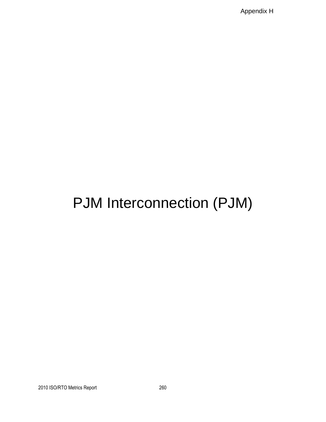Appendix H

# PJM Interconnection (PJM)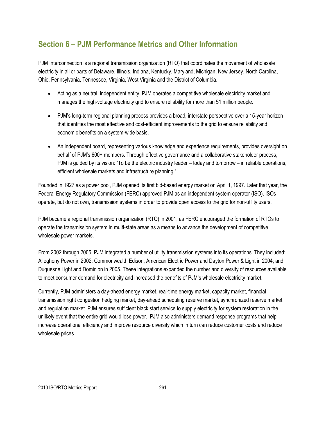## **Section 6 – PJM Performance Metrics and Other Information**

PJM Interconnection is a regional transmission organization (RTO) that coordinates the movement of wholesale electricity in all or parts of Delaware, Illinois, Indiana, Kentucky, Maryland, Michigan, New Jersey, North Carolina, Ohio, Pennsylvania, Tennessee, Virginia, West Virginia and the District of Columbia.

- Acting as a neutral, independent entity, PJM operates a competitive wholesale electricity market and manages the high-voltage electricity grid to ensure reliability for more than 51 million people.
- PJM's long-term regional planning process provides a broad, interstate perspective over a 15-year horizon that identifies the most effective and cost-efficient improvements to the grid to ensure reliability and economic benefits on a system-wide basis.
- An independent board, representing various knowledge and experience requirements, provides oversight on behalf of PJM's 600+ members. Through effective governance and a collaborative stakeholder process, PJM is quided by its vision: "To be the electric industry leader – today and tomorrow – in reliable operations, efficient wholesale markets and infrastructure planning."

Founded in 1927 as a power pool, PJM opened its first bid-based energy market on April 1, 1997. Later that year, the Federal Energy Regulatory Commission (FERC) approved PJM as an independent system operator (ISO). ISOs operate, but do not own, transmission systems in order to provide open access to the grid for non-utility users.

PJM became a regional transmission organization (RTO) in 2001, as FERC encouraged the formation of RTOs to operate the transmission system in multi-state areas as a means to advance the development of competitive wholesale power markets.

From 2002 through 2005, PJM integrated a number of utility transmission systems into its operations. They included: Allegheny Power in 2002; Commonwealth Edison, American Electric Power and Dayton Power & Light in 2004; and Duquesne Light and Dominion in 2005. These integrations expanded the number and diversity of resources available to meet consumer demand for electricity and increased the benefits of PJM's wholesale electricity market.

Currently, PJM administers a day-ahead energy market, real-time energy market, capacity market, financial transmission right congestion hedging market, day-ahead scheduling reserve market, synchronized reserve market and regulation market. PJM ensures sufficient black start service to supply electricity for system restoration in the unlikely event that the entire grid would lose power. PJM also administers demand response programs that help increase operational efficiency and improve resource diversity which in turn can reduce customer costs and reduce wholesale prices.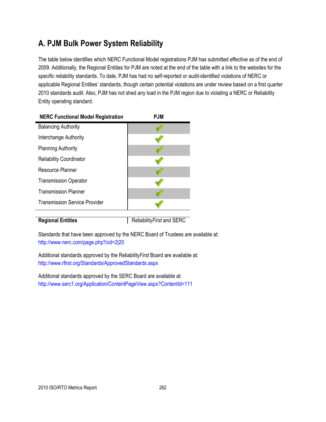## **A. PJM Bulk Power System Reliability**

The table below identifies which NERC Functional Model registrations PJM has submitted effective as of the end of 2009. Additionally, the Regional Entities for PJM are noted at the end of the table with a link to the websites for the specific reliability standards. To date, PJM has had no self-reported or audit-identified violations of NERC or applicable Regional Entities' standards, though certain potential violations are under review based on a first quarter 2010 standards audit. Also, PJM has not shed any load in the PJM region due to violating a NERC or Reliability Entity operating standard.

| <b>NERC Functional Model Registration</b> | <b>PJM</b> |
|-------------------------------------------|------------|
| <b>Balancing Authority</b>                |            |
| Interchange Authority                     |            |
| <b>Planning Authority</b>                 |            |
| <b>Reliability Coordinator</b>            |            |
| Resource Planner                          |            |
| <b>Transmission Operator</b>              |            |
| <b>Transmission Planner</b>               |            |
| <b>Transmission Service Provider</b>      |            |
|                                           |            |

**Regional Entities** Reliability *First* and SERC

Standards that have been approved by the NERC Board of Trustees are available at: <http://www.nerc.com/page.php?cid=2|20>

Additional standards approved by the Reliability*First* Board are available at: <http://www.rfirst.org/Standards/ApprovedStandards.aspx>

Additional standards approved by the SERC Board are available at: <http://www.serc1.org/Application/ContentPageView.aspx?ContentId=111>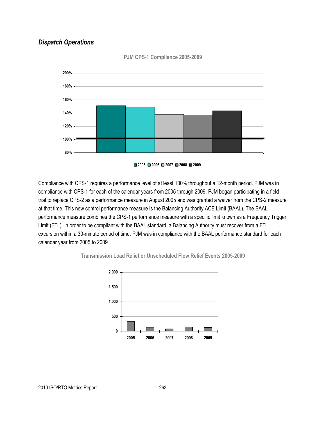### *Dispatch Operations*



**PJM CPS-1 Compliance 2005-2009**

Compliance with CPS-1 requires a performance level of at least 100% throughout a 12-month period. PJM was in compliance with CPS-1 for each of the calendar years from 2005 through 2009. PJM began participating in a field trial to replace CPS-2 as a performance measure in August 2005 and was granted a waiver from the CPS-2 measure at that time. This new control performance measure is the Balancing Authority ACE Limit (BAAL). The BAAL performance measure combines the CPS-1 performance measure with a specific limit known as a Frequency Trigger Limit (FTL). In order to be compliant with the BAAL standard, a Balancing Authority must recover from a FTL excursion within a 30-minute period of time. PJM was in compliance with the BAAL performance standard for each





calendar year from 2005 to 2009.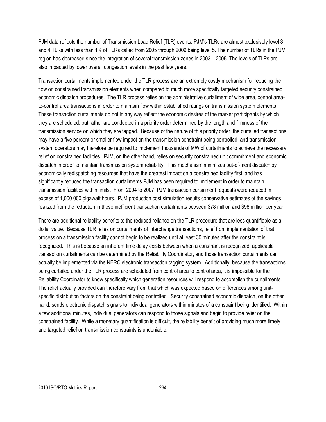PJM data reflects the number of Transmission Load Relief (TLR) events. PJM's TLRs are almost exclusively level 3 and 4 TLRs with less than 1% of TLRs called from 2005 through 2009 being level 5. The number of TLRs in the PJM region has decreased since the integration of several transmission zones in 2003 – 2005. The levels of TLRs are also impacted by lower overall congestion levels in the past few years.

Transaction curtailments implemented under the TLR process are an extremely costly mechanism for reducing the flow on constrained transmission elements when compared to much more specifically targeted security constrained economic dispatch procedures. The TLR process relies on the administrative curtailment of wide area, control areato-control area transactions in order to maintain flow within established ratings on transmission system elements. These transaction curtailments do not in any way reflect the economic desires of the market participants by which they are scheduled, but rather are conducted in a priority order determined by the length and firmness of the transmission service on which they are tagged. Because of the nature of this priority order, the curtailed transactions may have a five percent or smaller flow impact on the transmission constraint being controlled, and transmission system operators may therefore be required to implement thousands of MW of curtailments to achieve the necessary relief on constrained facilities. PJM, on the other hand, relies on security constrained unit commitment and economic dispatch in order to maintain transmission system reliability. This mechanism minimizes out-of-merit dispatch by economically redispatching resources that have the greatest impact on a constrained facility first, and has significantly reduced the transaction curtailments PJM has been required to implement in order to maintain transmission facilities within limits. From 2004 to 2007, PJM transaction curtailment requests were reduced in excess of 1,000,000 gigawatt hours. PJM production cost simulation results conservative estimates of the savings realized from the reduction in these inefficient transaction curtailments between \$78 million and \$98 million per year.

There are additional reliability benefits to the reduced reliance on the TLR procedure that are less quantifiable as a dollar value. Because TLR relies on curtailments of interchange transactions, relief from implementation of that process on a transmission facility cannot begin to be realized until at least 30 minutes after the constraint is recognized. This is because an inherent time delay exists between when a constraint is recognized, applicable transaction curtailments can be determined by the Reliability Coordinator, and those transaction curtailments can actually be implemented via the NERC electronic transaction tagging system. Additionally, because the transactions being curtailed under the TLR process are scheduled from control area to control area, it is impossible for the Reliability Coordinator to know specifically which generation resources will respond to accomplish the curtailments. The relief actually provided can therefore vary from that which was expected based on differences among unitspecific distribution factors on the constraint being controlled. Security constrained economic dispatch, on the other hand, sends electronic dispatch signals to individual generators within minutes of a constraint being identified. Within a few additional minutes, individual generators can respond to those signals and begin to provide relief on the constrained facility. While a monetary quantification is difficult, the reliability benefit of providing much more timely and targeted relief on transmission constraints is undeniable.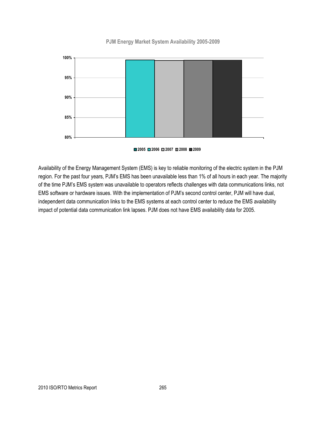#### **PJM Energy Market System Availability 2005-2009**



**2005 2006 2007 2008 2009**

Availability of the Energy Management System (EMS) is key to reliable monitoring of the electric system in the PJM region. For the past four years, PJM's EMS has been unavailable less than 1% of all hours in each year. The majority of the time PJM's EMS system was unavailable to operators reflects challenges with data communications links, not EMS software or hardware issues. With the implementation of PJM's second control center, PJM will have dual, independent data communication links to the EMS systems at each control center to reduce the EMS availability impact of potential data communication link lapses. PJM does not have EMS availability data for 2005.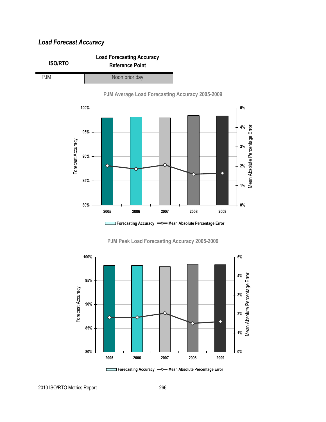### *Load Forecast Accuracy*









2010 ISO/RTO Metrics Report 266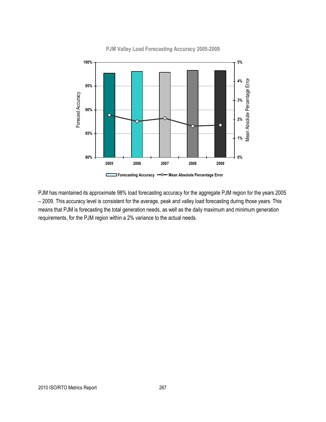

**PJM Valley Load Forecasting Accuracy 2005-2009**

PJM has maintained its approximate 98% load forecasting accuracy for the aggregate PJM region for the years 2005 – 2009. This accuracy level is consistent for the average, peak and valley load forecasting during those years. This means that PJM is forecasting the total generation needs, as well as the daily maximum and minimum generation requirements, for the PJM region within a 2% variance to the actual needs.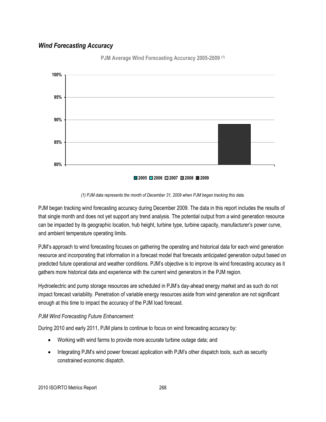### *Wind Forecasting Accuracy*



**PJM Average Wind Forecasting Accuracy 2005-2009 (1)**

#### *(1) PJM data represents the month of December 31, 2009 when PJM began tracking this data.*

PJM began tracking wind forecasting accuracy during December 2009. The data in this report includes the results of that single month and does not yet support any trend analysis. The potential output from a wind generation resource can be impacted by its geographic location, hub height, turbine type, turbine capacity, manufacturer's power curve, and ambient temperature operating limits.

PJM's approach to wind forecasting focuses on gathering the operating and historical data for each wind generation resource and incorporating that information in a forecast model that forecasts anticipated generation output based on predicted future operational and weather conditions. PJM's objective is to improve its wind forecasting accuracy as it gathers more historical data and experience with the current wind generators in the PJM region.

Hydroelectric and pump storage resources are scheduled in PJM's day-ahead energy market and as such do not impact forecast variability. Penetration of variable energy resources aside from wind generation are not significant enough at this time to impact the accuracy of the PJM load forecast.

#### *PJM Wind Forecasting Future Enhancement:*

During 2010 and early 2011, PJM plans to continue to focus on wind forecasting accuracy by:

- Working with wind farms to provide more accurate turbine outage data; and
- Integrating PJM's wind power forecast application with PJM's other dispatch tools, such as security constrained economic dispatch.

**<sup>2005</sup> 2006 2007 2008 2009**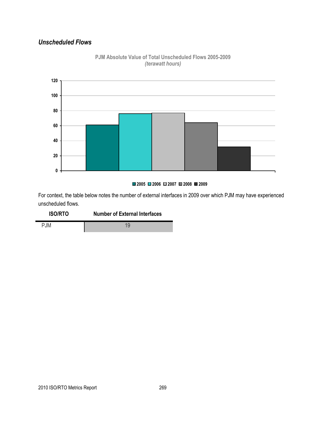### *Unscheduled Flows*



### **PJM Absolute Value of Total Unscheduled Flows 2005-2009** *(terawatt hours)*

#### **2005 2006 2007 2008 2009**

For context, the table below notes the number of external interfaces in 2009 over which PJM may have experienced unscheduled flows.

| <b>ISO/RTO</b> | <b>Number of External Interfaces</b> |
|----------------|--------------------------------------|
| <b>PJM</b>     |                                      |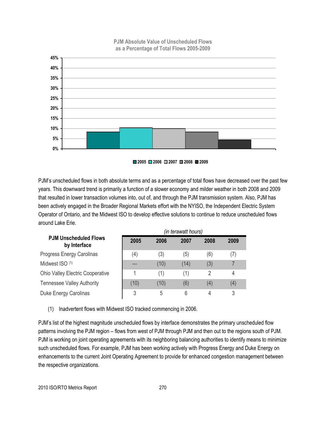

**PJM Absolute Value of Unscheduled Flows as a Percentage of Total Flows 2005-2009**

**2005 2006 2007 2008 2009**

PJM's unscheduled flows in both absolute terms and as a percentage of total flows have decreased over the past few years. This downward trend is primarily a function of a slower economy and milder weather in both 2008 and 2009 that resulted in lower transaction volumes into, out of, and through the PJM transmission system. Also, PJM has been actively engaged in the Broader Regional Markets effort with the NYISO, the Independent Electric System Operator of Ontario, and the Midwest ISO to develop effective solutions to continue to reduce unscheduled flows around Lake Erie.

|                                              | (in terawatt hours) |      |      |      |      |
|----------------------------------------------|---------------------|------|------|------|------|
| <b>PJM Unscheduled Flows</b><br>by Interface | 2005                | 2006 | 2007 | 2008 | 2009 |
| Progress Energy Carolinas                    | (4)                 | (3)  | (5)  | (6)  | (7)  |
| Midwest ISO (1)                              | ----                | (10) | (14) | (3)  |      |
| <b>Ohio Valley Electric Cooperative</b>      |                     | (1)  | (1)  | 2    | 4    |
| <b>Tennessee Valley Authority</b>            | (10)                | (10) | (6)  | (4)  | (4)  |
| Duke Energy Carolinas                        | 3                   | 5    | 6    | 4    | 3    |

(1) Inadvertent flows with Midwest ISO tracked commencing in 2006.

PJM's list of the highest magnitude unscheduled flows by interface demonstrates the primary unscheduled flow patterns involving the PJM region – flows from west of PJM through PJM and then out to the regions south of PJM. PJM is working on joint operating agreements with its neighboring balancing authorities to identify means to minimize such unscheduled flows. For example, PJM has been working actively with Progress Energy and Duke Energy on enhancements to the current Joint Operating Agreement to provide for enhanced congestion management between the respective organizations.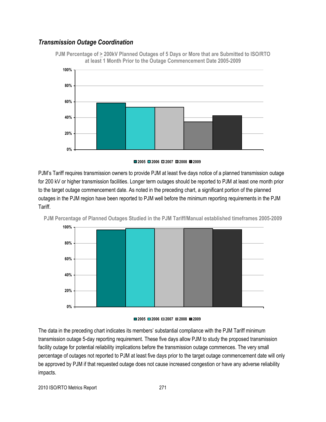### *Transmission Outage Coordination*

**PJM Percentage of > 200kV Planned Outages of 5 Days or More that are Submitted to ISO/RTO at least 1 Month Prior to the Outage Commencement Date 2005-2009**





PJM's Tariff requires transmission owners to provide PJM at least five days notice of a planned transmission outage for 200 kV or higher transmission facilities. Longer term outages should be reported to PJM at least one month prior to the target outage commencement date. As noted in the preceding chart, a significant portion of the planned outages in the PJM region have been reported to PJM well before the minimum reporting requirements in the PJM Tariff.

**PJM Percentage of Planned Outages Studied in the PJM Tariff/Manual established timeframes 2005-2009**



#### **2005 2006 2007 2008 2009**

The data in the preceding chart indicates its members' substantial compliance with the PJM Tariff minimum transmission outage 5-day reporting requirement. These five days allow PJM to study the proposed transmission facility outage for potential reliability implications before the transmission outage commences. The very small percentage of outages not reported to PJM at least five days prior to the target outage commencement date will only be approved by PJM if that requested outage does not cause increased congestion or have any adverse reliability impacts.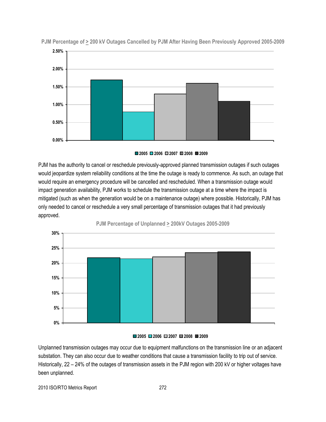

**PJM Percentage of > 200 kV Outages Cancelled by PJM After Having Been Previously Approved 2005-2009**

**2005 2006 2007 2008 2009**

PJM has the authority to cancel or reschedule previously-approved planned transmission outages if such outages would jeopardize system reliability conditions at the time the outage is ready to commence. As such, an outage that would require an emergency procedure will be cancelled and rescheduled. When a transmission outage would impact generation availability, PJM works to schedule the transmission outage at a time where the impact is mitigated (such as when the generation would be on a maintenance outage) where possible. Historically, PJM has only needed to cancel or reschedule a very small percentage of transmission outages that it had previously approved.



**PJM Percentage of Unplanned > 200kV Outages 2005-2009**



Unplanned transmission outages may occur due to equipment malfunctions on the transmission line or an adjacent substation. They can also occur due to weather conditions that cause a transmission facility to trip out of service. Historically, 22 – 24% of the outages of transmission assets in the PJM region with 200 kV or higher voltages have been unplanned.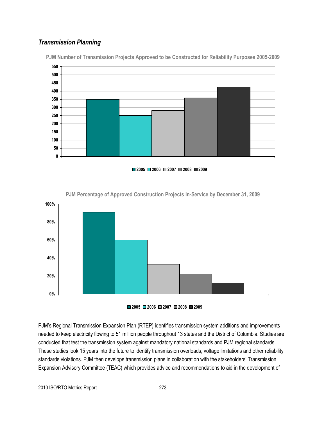### *Transmission Planning*



**PJM Number of Transmission Projects Approved to be Constructed for Reliability Purposes 2005-2009**

**2005 2006 2007 2008 2009**



**PJM Percentage of Approved Construction Projects In-Service by December 31, 2009**



PJM's Regional Transmission Expansion Plan (RTEP) identifies transmission system additions and improvements needed to keep electricity flowing to 51 million people throughout 13 states and the District of Columbia. Studies are conducted that test the transmission system against mandatory national standards and PJM regional standards. These studies look 15 years into the future to identify transmission overloads, voltage limitations and other reliability standards violations. PJM then develops transmission plans in collaboration with the stakeholders' Transmission Expansion Advisory Committee (TEAC) which provides advice and recommendations to aid in the development of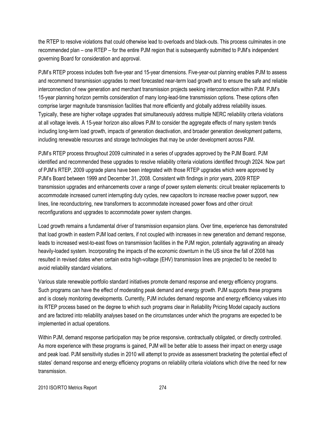the RTEP to resolve violations that could otherwise lead to overloads and black-outs. This process culminates in one recommended plan – one RTEP – for the entire PJM region that is subsequently submitted to PJM's independent governing Board for consideration and approval.

PJM's RTEP process includes both five-year and 15-year dimensions. Five-year-out planning enables PJM to assess and recommend transmission upgrades to meet forecasted near-term load growth and to ensure the safe and reliable interconnection of new generation and merchant transmission projects seeking interconnection within PJM. PJM's 15-year planning horizon permits consideration of many long-lead-time transmission options. These options often comprise larger magnitude transmission facilities that more efficiently and globally address reliability issues. Typically, these are higher voltage upgrades that simultaneously address multiple NERC reliability criteria violations at all voltage levels. A 15-year horizon also allows PJM to consider the aggregate effects of many system trends including long-term load growth, impacts of generation deactivation, and broader generation development patterns, including renewable resources and storage technologies that may be under development across PJM.

PJM's RTEP process throughout 2009 culminated in a series of upgrades approved by the PJM Board. PJM identified and recommended these upgrades to resolve reliability criteria violations identified through 2024. Now part of PJM's RTEP, 2009 upgrade plans have been integrated with those RTEP upgrades which were approved by PJM's Board between 1999 and December 31, 2008. Consistent with findings in prior years, 2009 RTEP transmission upgrades and enhancements cover a range of power system elements: circuit breaker replacements to accommodate increased current interrupting duty cycles, new capacitors to increase reactive power support, new lines, line reconductoring, new transformers to accommodate increased power flows and other circuit reconfigurations and upgrades to accommodate power system changes.

Load growth remains a fundamental driver of transmission expansion plans. Over time, experience has demonstrated that load growth in eastern PJM load centers, if not coupled with increases in new generation and demand response, leads to increased west-to-east flows on transmission facilities in the PJM region, potentially aggravating an already heavily-loaded system. Incorporating the impacts of the economic downturn in the US since the fall of 2008 has resulted in revised dates when certain extra high-voltage (EHV) transmission lines are projected to be needed to avoid reliability standard violations.

Various state renewable portfolio standard initiatives promote demand response and energy efficiency programs. Such programs can have the effect of moderating peak demand and energy growth. PJM supports these programs and is closely monitoring developments. Currently, PJM includes demand response and energy efficiency values into its RTEP process based on the degree to which such programs clear in Reliability Pricing Model capacity auctions and are factored into reliability analyses based on the circumstances under which the programs are expected to be implemented in actual operations.

Within PJM, demand response participation may be price responsive, contractually obligated, or directly controlled. As more experience with these programs is gained, PJM will be better able to assess their impact on energy usage and peak load. PJM sensitivity studies in 2010 will attempt to provide as assessment bracketing the potential effect of states' demand response and energy efficiency programs on reliability criteria violations which drive the need for new transmission.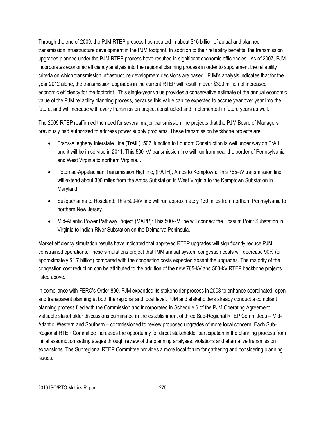Through the end of 2009, the PJM RTEP process has resulted in about \$15 billion of actual and planned transmission infrastructure development in the PJM footprint. In addition to their reliability benefits, the transmission upgrades planned under the PJM RTEP process have resulted in significant economic efficiencies. As of 2007, PJM incorporates economic efficiency analysis into the regional planning process in order to supplement the reliability criteria on which transmission infrastructure development decisions are based. PJM's analysis indicates that for the year 2012 alone, the transmission upgrades in the current RTEP will result in over \$390 million of increased economic efficiency for the footprint. This single-year value provides a conservative estimate of the annual economic value of the PJM reliability planning process, because this value can be expected to accrue year over year into the future, and will increase with every transmission project constructed and implemented in future years as well.

The 2009 RTEP reaffirmed the need for several major transmission line projects that the PJM Board of Managers previously had authorized to address power supply problems. These transmission backbone projects are:

- Trans-Allegheny Interstate Line (TrAIL), 502 Junction to Loudon: Construction is well under way on TrAIL, and it will be in service in 2011. This 500-kV transmission line will run from near the border of Pennsylvania and West Virginia to northern Virginia. .
- Potomac-Appalachian Transmission Highline, (PATH), Amos to Kemptown: This 765-kV transmission line will extend about 300 miles from the Amos Substation in West Virginia to the Kemptown Substation in Maryland.
- Susquehanna to Roseland: This 500-kV line will run approximately 130 miles from northern Pennsylvania to northern New Jersey.
- Mid-Atlantic Power Pathway Project (MAPP): This 500-kV line will connect the Possum Point Substation in Virginia to Indian River Substation on the Delmarva Peninsula.

Market efficiency simulation results have indicated that approved RTEP upgrades will significantly reduce PJM constrained operations. These simulations project that PJM annual system congestion costs will decrease 90% (or approximately \$1.7 billion) compared with the congestion costs expected absent the upgrades. The majority of the congestion cost reduction can be attributed to the addition of the new 765-kV and 500-kV RTEP backbone projects listed above.

In compliance with FERC's Order 890, PJM expanded its stakeholder process in 2008 to enhance coordinated, open and transparent planning at both the regional and local level. PJM and stakeholders already conduct a compliant planning process filed with the Commission and incorporated in Schedule 6 of the PJM Operating Agreement. Valuable stakeholder discussions culminated in the establishment of three Sub-Regional RTEP Committees – Mid-Atlantic, Western and Southern – commissioned to review proposed upgrades of more local concern. Each Sub-Regional RTEP Committee increases the opportunity for direct stakeholder participation in the planning process from initial assumption setting stages through review of the planning analyses, violations and alternative transmission expansions. The Subregional RTEP Committee provides a more local forum for gathering and considering planning issues.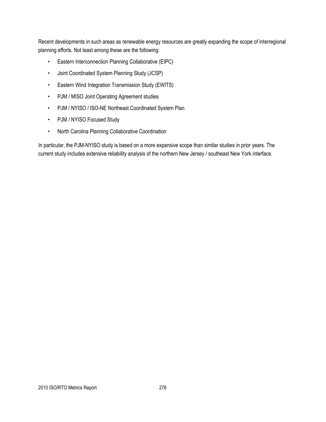Recent developments in such areas as renewable energy resources are greatly expanding the scope of interregional planning efforts. Not least among these are the following:

- Eastern Interconnection Planning Collaborative (EIPC)
- Joint Coordinated System Planning Study (JCSP)
- Eastern Wind Integration Transmission Study (EWITS)
- PJM / MISO Joint Operating Agreement studies
- PJM / NYISO / ISO-NE Northeast Coordinated System Plan
- PJM / NYISO Focused Study
- North Carolina Planning Collaborative Coordination

In particular, the PJM-NYISO study is based on a more expansive scope than similar studies in prior years. The current study includes extensive reliability analysis of the northern New Jersey / southeast New York interface.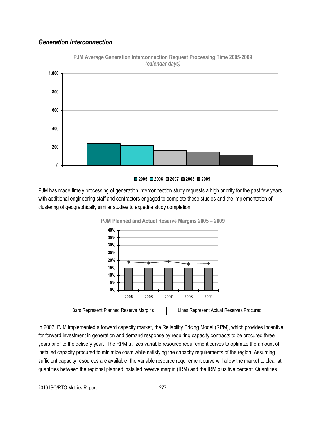### *Generation Interconnection*



**PJM Average Generation Interconnection Request Processing Time 2005-2009** *(calendar days)*

#### **2005 2006 2007 2008 2009**

PJM has made timely processing of generation interconnection study requests a high priority for the past few years with additional engineering staff and contractors engaged to complete these studies and the implementation of clustering of geographically similar studies to expedite study completion.



**PJM Planned and Actual Reserve Margins 2005 – 2009**

In 2007, PJM implemented a forward capacity market, the Reliability Pricing Model (RPM), which provides incentive for forward investment in generation and demand response by requiring capacity contracts to be procured three years prior to the delivery year. The RPM utilizes variable resource requirement curves to optimize the amount of installed capacity procured to minimize costs while satisfying the capacity requirements of the region. Assuming sufficient capacity resources are available, the variable resource requirement curve will allow the market to clear at quantities between the regional planned installed reserve margin (IRM) and the IRM plus five percent. Quantities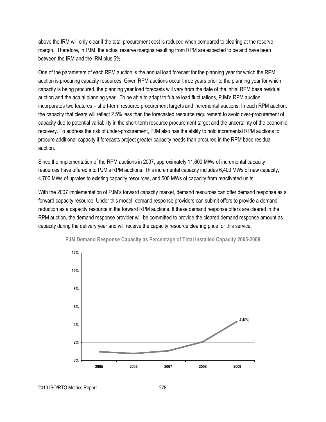above the IRM will only clear if the total procurement cost is reduced when compared to clearing at the reserve margin. Therefore, in PJM, the actual reserve margins resulting from RPM are expected to be and have been between the IRM and the IRM plus 5%.

One of the parameters of each RPM auction is the annual load forecast for the planning year for which the RPM auction is procuring capacity resources. Given RPM auctions occur three years prior to the planning year for which capacity is being procured, the planning year load forecasts will vary from the date of the initial RPM base residual auction and the actual planning year. To be able to adapt to future load fluctuations, PJM's RPM auction incorporates two features – short-term resource procurement targets and incremental auctions. In each RPM auction, the capacity that clears will reflect 2.5% less than the forecasted resource requirement to avoid over-procurement of capacity due to potential variability in the short-term resource procurement target and the uncertainty of the economic recovery. To address the risk of under-procurement, PJM also has the ability to hold incremental RPM auctions to procure additional capacity if forecasts project greater capacity needs than procured in the RPM base residual auction.

Since the implementation of the RPM auctions in 2007, approximately 11,600 MWs of incremental capacity resources have offered into PJM's RPM auctions. This incremental capacity includes 6,400 MWs of new capacity, 4,700 MWs of uprates to existing capacity resources, and 500 MWs of capacity from reactivated units.

With the 2007 implementation of PJM's forward capacity market, demand resources can offer demand response as a forward capacity resource. Under this model, demand response providers can submit offers to provide a demand reduction as a capacity resource in the forward RPM auctions. If these demand response offers are cleared in the RPM auction, the demand response provider will be committed to provide the cleared demand response amount as capacity during the delivery year and will receive the capacity resource clearing price for this service.





2010 ISO/RTO Metrics Report 278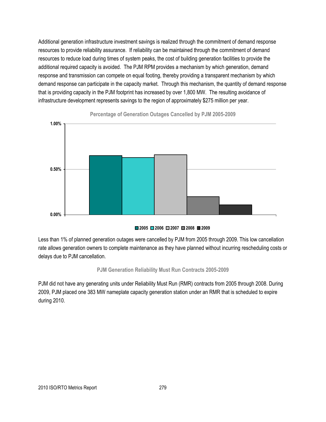Additional generation infrastructure investment savings is realized through the commitment of demand response resources to provide reliability assurance. If reliability can be maintained through the commitment of demand resources to reduce load during times of system peaks, the cost of building generation facilities to provide the additional required capacity is avoided. The PJM RPM provides a mechanism by which generation, demand response and transmission can compete on equal footing, thereby providing a transparent mechanism by which demand response can participate in the capacity market. Through this mechanism, the quantity of demand response that is providing capacity in the PJM footprint has increased by over 1,800 MW. The resulting avoidance of infrastructure development represents savings to the region of approximately \$275 million per year.



**Percentage of Generation Outages Cancelled by PJM 2005-2009**

#### **2005 2006 2007 2008 2009**

Less than 1% of planned generation outages were cancelled by PJM from 2005 through 2009. This low cancellation rate allows generation owners to complete maintenance as they have planned without incurring rescheduling costs or delays due to PJM cancellation.

#### **PJM Generation Reliability Must Run Contracts 2005-2009**

PJM did not have any generating units under Reliability Must Run (RMR) contracts from 2005 through 2008. During 2009, PJM placed one 383 MW nameplate capacity generation station under an RMR that is scheduled to expire during 2010.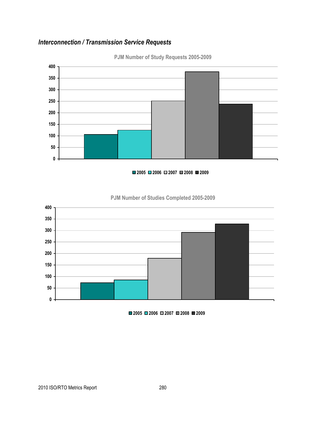### *Interconnection / Transmission Service Requests*



**PJM Number of Study Requests 2005-2009**

#### **2006 2007 2008 2009**



### **PJM Number of Studies Completed 2005-2009**

**2006 2007 2008 2009**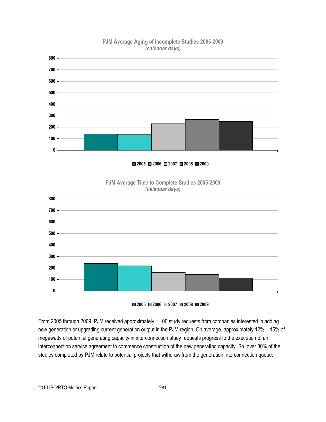

### **PJM Average Aging of Incomplete Studies 2005-2009** *(calendar days)*

**2006 2007 2008 2009**





**2006 2007 2008 2009**

From 2005 through 2009, PJM received approximately 1,100 study requests from companies interested in adding new generation or upgrading current generation output in the PJM region. On average, approximately 12% – 15% of megawatts of potential generating capacity in interconnection study requests progress to the execution of an interconnection service agreement to commence construction of the new generating capacity. So, over 80% of the studies completed by PJM relate to potential projects that withdraw from the generation interconnection queue.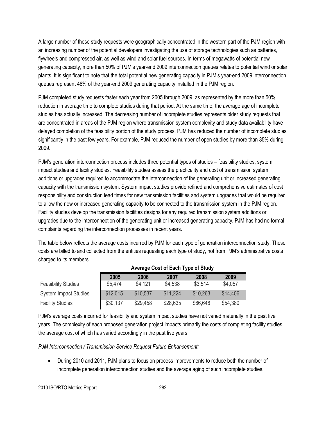A large number of those study requests were geographically concentrated in the western part of the PJM region with an increasing number of the potential developers investigating the use of storage technologies such as batteries, flywheels and compressed air, as well as wind and solar fuel sources. In terms of megawatts of potential new generating capacity, more than 50% of PJM's year-end 2009 interconnection queues relates to potential wind or solar plants. It is significant to note that the total potential new generating capacity in PJM's year-end 2009 interconnection queues represent 46% of the year-end 2009 generating capacity installed in the PJM region.

PJM completed study requests faster each year from 2005 through 2009, as represented by the more than 50% reduction in average time to complete studies during that period. At the same time, the average age of incomplete studies has actually increased. The decreasing number of incomplete studies represents older study requests that are concentrated in areas of the PJM region where transmission system complexity and study data availability have delayed completion of the feasibility portion of the study process. PJM has reduced the number of incomplete studies significantly in the past few years. For example, PJM reduced the number of open studies by more than 35% during 2009.

PJM's generation interconnection process includes three potential types of studies – feasibility studies, system impact studies and facility studies. Feasibility studies assess the practicality and cost of transmission system additions or upgrades required to accommodate the interconnection of the generating unit or increased generating capacity with the transmission system. System impact studies provide refined and comprehensive estimates of cost responsibility and construction lead times for new transmission facilities and system upgrades that would be required to allow the new or increased generating capacity to be connected to the transmission system in the PJM region. Facility studies develop the transmission facilities designs for any required transmission system additions or upgrades due to the interconnection of the generating unit or increased generating capacity. PJM has had no formal complaints regarding the interconnection processes in recent years.

The table below reflects the average costs incurred by PJM for each type of generation interconnection study. These costs are billed to and collected from the entities requesting each type of study, not from PJM's administrative costs charged to its members.

|                            | Average Obst of Each Type of Olduy |          |          |          |          |
|----------------------------|------------------------------------|----------|----------|----------|----------|
|                            | 2005                               | 2006     | 2007     | 2008     | 2009     |
| <b>Feasibility Studies</b> | \$5,474                            | \$4,121  | \$4,538  | \$3,514  | \$4,057  |
| System Impact Studies      | \$12,015                           | \$10,537 | \$11.224 | \$10,263 | \$14,406 |
| <b>Facility Studies</b>    | \$30,137                           | \$29,458 | \$28,635 | \$66,648 | \$54,380 |

### **Average Cost of Each Type of Study**

PJM's average costs incurred for feasibility and system impact studies have not varied materially in the past five years. The complexity of each proposed generation project impacts primarily the costs of completing facility studies, the average cost of which has varied accordingly in the past five years.

*PJM Interconnection / Transmission Service Request Future Enhancement:*

 During 2010 and 2011, PJM plans to focus on process improvements to reduce both the number of incomplete generation interconnection studies and the average aging of such incomplete studies.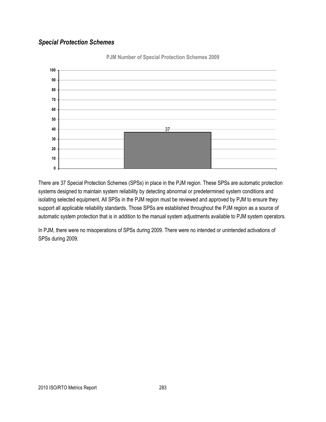### *Special Protection Schemes*



**PJM Number of Special Protection Schemes 2009**

There are 37 Special Protection Schemes (SPSs) in place in the PJM region. These SPSs are automatic protection systems designed to maintain system reliability by detecting abnormal or predetermined system conditions and isolating selected equipment. All SPSs in the PJM region must be reviewed and approved by PJM to ensure they support all applicable reliability standards. Those SPSs are established throughout the PJM region as a source of automatic system protection that is in addition to the manual system adjustments available to PJM system operators.

In PJM, there were no misoperations of SPSs during 2009. There were no intended or unintended activations of SPSs during 2009.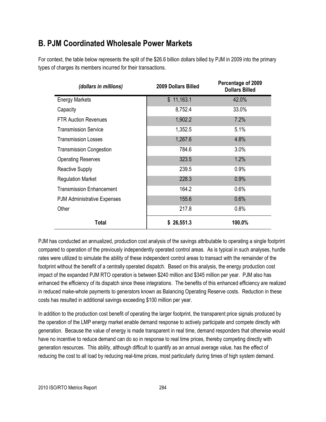### **B. PJM Coordinated Wholesale Power Markets**

For context, the table below represents the split of the \$26.6 billion dollars billed by PJM in 2009 into the primary types of charges its members incurred for their transactions.

| (dollars in millions)              | 2009 Dollars Billed | Percentage of 2009<br><b>Dollars Billed</b> |
|------------------------------------|---------------------|---------------------------------------------|
| <b>Energy Markets</b>              | \$11,163.1          | 42.0%                                       |
| Capacity                           | 8,752.4             | 33.0%                                       |
| <b>FTR Auction Revenues</b>        | 1,902.2             | 7.2%                                        |
| <b>Transmission Service</b>        | 1,352.5             | 5.1%                                        |
| <b>Transmission Losses</b>         | 1,267.6             | 4.8%                                        |
| <b>Transmission Congestion</b>     | 784.6               | 3.0%                                        |
| <b>Operating Reserves</b>          | 323.5               | 1.2%                                        |
| <b>Reactive Supply</b>             | 239.5               | 0.9%                                        |
| <b>Regulation Market</b>           | 228.3               | 0.9%                                        |
| <b>Transmission Enhancement</b>    | 164.2               | 0.6%                                        |
| <b>PJM Administrative Expenses</b> | 155.6               | 0.6%                                        |
| Other                              | 217.8               | 0.8%                                        |
| Total                              | \$26,551.3          | 100.0%                                      |

PJM has conducted an annualized, production cost analysis of the savings attributable to operating a single footprint compared to operation of the previously independently operated control areas. As is typical in such analyses, hurdle rates were utilized to simulate the ability of these independent control areas to transact with the remainder of the footprint without the benefit of a centrally operated dispatch. Based on this analysis, the energy production cost impact of the expanded PJM RTO operation is between \$240 million and \$345 million per year. PJM also has enhanced the efficiency of its dispatch since these integrations. The benefits of this enhanced efficiency are realized in reduced make-whole payments to generators known as Balancing Operating Reserve costs. Reduction in these costs has resulted in additional savings exceeding \$100 million per year.

In addition to the production cost benefit of operating the larger footprint, the transparent price signals produced by the operation of the LMP energy market enable demand response to actively participate and compete directly with generation. Because the value of energy is made transparent in real time, demand responders that otherwise would have no incentive to reduce demand can do so in response to real time prices, thereby competing directly with generation resources. This ability, although difficult to quantify as an annual average value, has the effect of reducing the cost to all load by reducing real-time prices, most particularly during times of high system demand.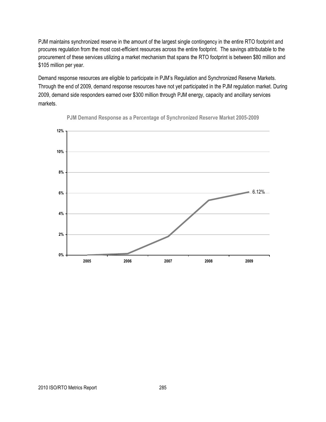PJM maintains synchronized reserve in the amount of the largest single contingency in the entire RTO footprint and procures regulation from the most cost-efficient resources across the entire footprint. The savings attributable to the procurement of these services utilizing a market mechanism that spans the RTO footprint is between \$80 million and \$105 million per year.

Demand response resources are eligible to participate in PJM's Regulation and Synchronized Reserve Markets. Through the end of 2009, demand response resources have not yet participated in the PJM regulation market. During 2009, demand side responders earned over \$300 million through PJM energy, capacity and ancillary services markets.



**PJM Demand Response as a Percentage of Synchronized Reserve Market 2005-2009**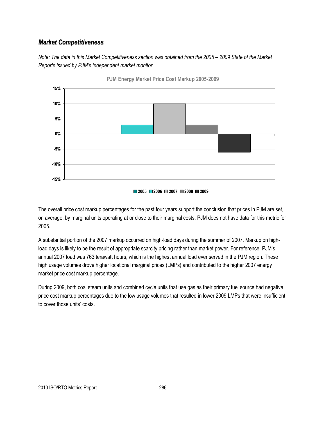### *Market Competitiveness*

*Note: The data in this Market Competitiveness section was obtained from the 2005 – 2009 State of the Market Reports issued by PJM"s independent market monitor.*



**PJM Energy Market Price Cost Markup 2005-2009**



The overall price cost markup percentages for the past four years support the conclusion that prices in PJM are set, on average, by marginal units operating at or close to their marginal costs. PJM does not have data for this metric for 2005.

A substantial portion of the 2007 markup occurred on high-load days during the summer of 2007. Markup on highload days is likely to be the result of appropriate scarcity pricing rather than market power. For reference, PJM's annual 2007 load was 763 terawatt hours, which is the highest annual load ever served in the PJM region. These high usage volumes drove higher locational marginal prices (LMPs) and contributed to the higher 2007 energy market price cost markup percentage.

During 2009, both coal steam units and combined cycle units that use gas as their primary fuel source had negative price cost markup percentages due to the low usage volumes that resulted in lower 2009 LMPs that were insufficient to cover those units' costs.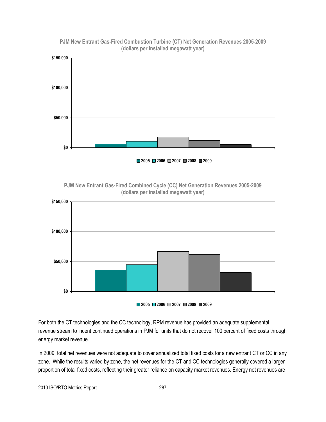

**PJM New Entrant Gas-Fired Combustion Turbine (CT) Net Generation Revenues 2005-2009 (dollars per installed megawatt year)**

**PJM New Entrant Gas-Fired Combined Cycle (CC) Net Generation Revenues 2005-2009 (dollars per installed megawatt year)**



For both the CT technologies and the CC technology, RPM revenue has provided an adequate supplemental revenue stream to incent continued operations in PJM for units that do not recover 100 percent of fixed costs through energy market revenue.

In 2009, total net revenues were not adequate to cover annualized total fixed costs for a new entrant CT or CC in any zone. While the results varied by zone, the net revenues for the CT and CC technologies generally covered a larger proportion of total fixed costs, reflecting their greater reliance on capacity market revenues. Energy net revenues are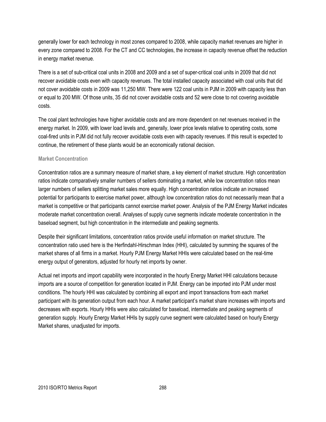generally lower for each technology in most zones compared to 2008, while capacity market revenues are higher in every zone compared to 2008. For the CT and CC technologies, the increase in capacity revenue offset the reduction in energy market revenue.

There is a set of sub-critical coal units in 2008 and 2009 and a set of super-critical coal units in 2009 that did not recover avoidable costs even with capacity revenues. The total installed capacity associated with coal units that did not cover avoidable costs in 2009 was 11,250 MW. There were 122 coal units in PJM in 2009 with capacity less than or equal to 200 MW. Of those units, 35 did not cover avoidable costs and 52 were close to not covering avoidable costs.

The coal plant technologies have higher avoidable costs and are more dependent on net revenues received in the energy market. In 2009, with lower load levels and, generally, lower price levels relative to operating costs, some coal-fired units in PJM did not fully recover avoidable costs even with capacity revenues. If this result is expected to continue, the retirement of these plants would be an economically rational decision.

#### **Market Concentration**

Concentration ratios are a summary measure of market share, a key element of market structure. High concentration ratios indicate comparatively smaller numbers of sellers dominating a market, while low concentration ratios mean larger numbers of sellers splitting market sales more equally. High concentration ratios indicate an increased potential for participants to exercise market power, although low concentration ratios do not necessarily mean that a market is competitive or that participants cannot exercise market power. Analysis of the PJM Energy Market indicates moderate market concentration overall. Analyses of supply curve segments indicate moderate concentration in the baseload segment, but high concentration in the intermediate and peaking segments.

Despite their significant limitations, concentration ratios provide useful information on market structure. The concentration ratio used here is the Herfindahl-Hirschman Index (HHI), calculated by summing the squares of the market shares of all firms in a market. Hourly PJM Energy Market HHIs were calculated based on the real-time energy output of generators, adjusted for hourly net imports by owner.

Actual net imports and import capability were incorporated in the hourly Energy Market HHI calculations because imports are a source of competition for generation located in PJM. Energy can be imported into PJM under most conditions. The hourly HHI was calculated by combining all export and import transactions from each market participant with its generation output from each hour. A market participant's market share increases with imports and decreases with exports. Hourly HHIs were also calculated for baseload, intermediate and peaking segments of generation supply. Hourly Energy Market HHIs by supply curve segment were calculated based on hourly Energy Market shares, unadjusted for imports.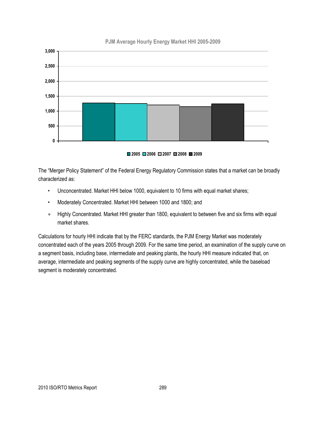

#### **PJM Average Hourly Energy Market HHI 2005-2009**



The "Merger Policy Statement" of the Federal Energy Regulatory Commission states that a market can be broadly characterized as:

- Unconcentrated. Market HHI below 1000, equivalent to 10 firms with equal market shares;
- Moderately Concentrated. Market HHI between 1000 and 1800; and
- Highly Concentrated. Market HHI greater than 1800, equivalent to between five and six firms with equal market shares.

Calculations for hourly HHI indicate that by the FERC standards, the PJM Energy Market was moderately concentrated each of the years 2005 through 2009. For the same time period, an examination of the supply curve on a segment basis, including base, intermediate and peaking plants, the hourly HHI measure indicated that, on average, intermediate and peaking segments of the supply curve are highly concentrated, while the baseload segment is moderately concentrated.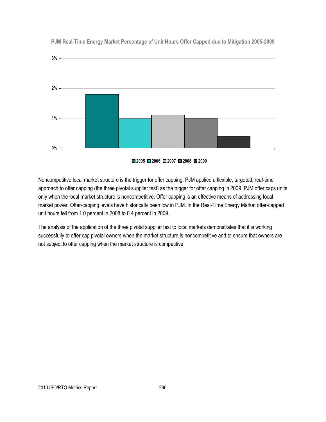

**PJM Real-Time Energy Market Percentage of Unit Hours Offer Capped due to Mitigation 2005-2009**

**2005 2006 2007 2008 2009**

Noncompetitive local market structure is the trigger for offer capping. PJM applied a flexible, targeted, real-time approach to offer capping (the three pivotal supplier test) as the trigger for offer capping in 2009. PJM offer caps units only when the local market structure is noncompetitive. Offer capping is an effective means of addressing local market power. Offer-capping levels have historically been low in PJM. In the Real-Time Energy Market offer-capped unit hours fell from 1.0 percent in 2008 to 0.4 percent in 2009.

The analysis of the application of the three pivotal supplier test to local markets demonstrates that it is working successfully to offer cap pivotal owners when the market structure is noncompetitive and to ensure that owners are not subject to offer capping when the market structure is competitive.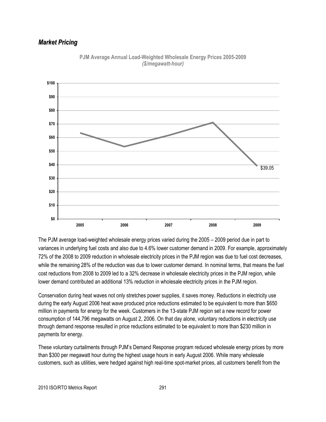### *Market Pricing*



**PJM Average Annual Load-Weighted Wholesale Energy Prices 2005-2009** *(\$/megawatt-hour)*

The PJM average load-weighted wholesale energy prices varied during the 2005 – 2009 period due in part to variances in underlying fuel costs and also due to 4.6% lower customer demand in 2009. For example, approximately 72% of the 2008 to 2009 reduction in wholesale electricity prices in the PJM region was due to fuel cost decreases, while the remaining 28% of the reduction was due to lower customer demand. In nominal terms, that means the fuel cost reductions from 2008 to 2009 led to a 32% decrease in wholesale electricity prices in the PJM region, while lower demand contributed an additional 13% reduction in wholesale electricity prices in the PJM region.

Conservation during heat waves not only stretches power supplies, it saves money. Reductions in electricity use during the early August 2006 heat wave produced price reductions estimated to be equivalent to more than \$650 million in payments for energy for the week. Customers in the 13-state PJM region set a new record for power consumption of 144,796 megawatts on August 2, 2006. On that day alone, voluntary reductions in electricity use through demand response resulted in price reductions estimated to be equivalent to more than \$230 million in payments for energy.

These voluntary curtailments through PJM's Demand Response program reduced wholesale energy prices by more than \$300 per megawatt hour during the highest usage hours in early August 2006. While many wholesale customers, such as utilities, were hedged against high real-time spot-market prices, all customers benefit from the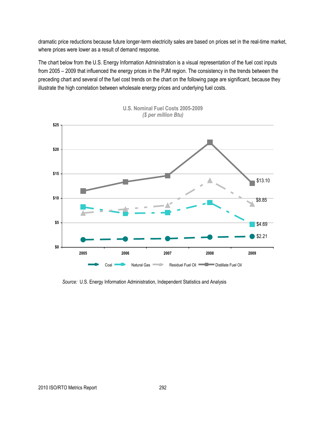dramatic price reductions because future longer-term electricity sales are based on prices set in the real-time market, where prices were lower as a result of demand response.

The chart below from the U.S. Energy Information Administration is a visual representation of the fuel cost inputs from 2005 – 2009 that influenced the energy prices in the PJM region. The consistency in the trends between the preceding chart and several of the fuel cost trends on the chart on the following page are significant, because they illustrate the high correlation between wholesale energy prices and underlying fuel costs.



**U.S. Nominal Fuel Costs 2005-2009** *(\$ per million Btu)*

*Source:* U.S. Energy Information Administration, Independent Statistics and Analysis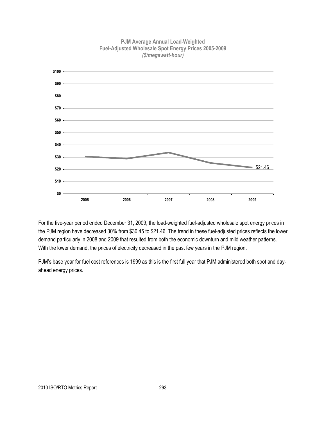

**PJM Average Annual Load-Weighted Fuel-Adjusted Wholesale Spot Energy Prices 2005-2009** *(\$/megawatt-hour)*

For the five-year period ended December 31, 2009, the load-weighted fuel-adjusted wholesale spot energy prices in the PJM region have decreased 30% from \$30.45 to \$21.46. The trend in these fuel-adjusted prices reflects the lower demand particularly in 2008 and 2009 that resulted from both the economic downturn and mild weather patterns. With the lower demand, the prices of electricity decreased in the past few years in the PJM region.

PJM's base year for fuel cost references is 1999 as this is the first full year that PJM administered both spot and dayahead energy prices.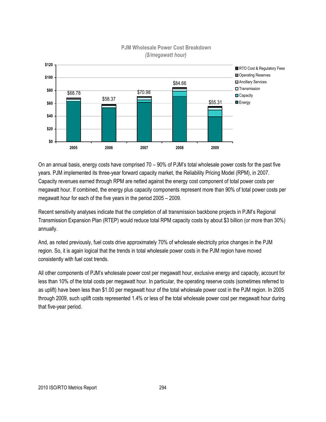

# *(\$/megawatt hour)*

On an annual basis, energy costs have comprised 70 – 90% of PJM's total wholesale power costs for the past five years. PJM implemented its three-year forward capacity market, the Reliability Pricing Model (RPM), in 2007. Capacity revenues earned through RPM are netted against the energy cost component of total power costs per megawatt hour. If combined, the energy plus capacity components represent more than 90% of total power costs per megawatt hour for each of the five years in the period 2005 – 2009.

Recent sensitivity analyses indicate that the completion of all transmission backbone projects in PJM's Regional Transmission Expansion Plan (RTEP) would reduce total RPM capacity costs by about \$3 billion (or more than 30%) annually.

And, as noted previously, fuel costs drive approximately 70% of wholesale electricity price changes in the PJM region. So, it is again logical that the trends in total wholesale power costs in the PJM region have moved consistently with fuel cost trends.

All other components of PJM's wholesale power cost per megawatt hour, exclusive energy and capacity, account for less than 10% of the total costs per megawatt hour. In particular, the operating reserve costs (sometimes referred to as uplift) have been less than \$1.00 per megawatt hour of the total wholesale power cost in the PJM region. In 2005 through 2009, such uplift costs represented 1.4% or less of the total wholesale power cost per megawatt hour during that five-year period.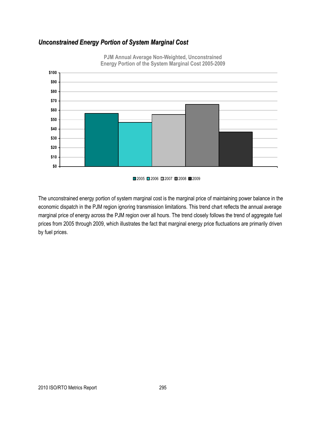### *Unconstrained Energy Portion of System Marginal Cost*



**PJM Annual Average Non-Weighted, Unconstrained Energy Portion of the System Marginal Cost 2005-2009**

■2005 ■2006 ■2007 ■2008 ■2009

The unconstrained energy portion of system marginal cost is the marginal price of maintaining power balance in the economic dispatch in the PJM region ignoring transmission limitations. This trend chart reflects the annual average marginal price of energy across the PJM region over all hours. The trend closely follows the trend of aggregate fuel prices from 2005 through 2009, which illustrates the fact that marginal energy price fluctuations are primarily driven by fuel prices.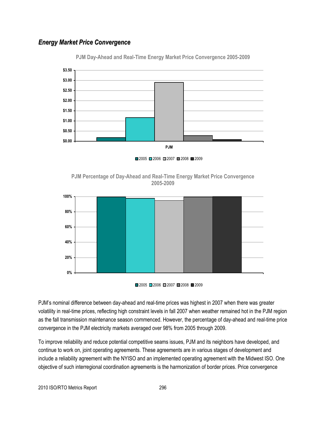### *Energy Market Price Convergence*



**PJM Day-Ahead and Real-Time Energy Market Price Convergence 2005-2009**









PJM's nominal difference between day-ahead and real-time prices was highest in 2007 when there was greater volatility in real-time prices, reflecting high constraint levels in fall 2007 when weather remained hot in the PJM region as the fall transmission maintenance season commenced. However, the percentage of day-ahead and real-time price convergence in the PJM electricity markets averaged over 98% from 2005 through 2009.

To improve reliability and reduce potential competitive seams issues, PJM and its neighbors have developed, and continue to work on, joint operating agreements. These agreements are in various stages of development and include a reliability agreement with the NYISO and an implemented operating agreement with the Midwest ISO. One objective of such interregional coordination agreements is the harmonization of border prices. Price convergence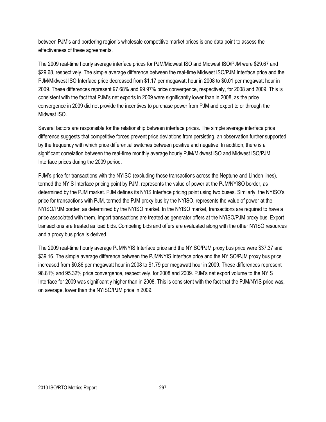between PJM's and bordering region's wholesale competitive market prices is one data point to assess the effectiveness of these agreements.

The 2009 real-time hourly average interface prices for PJM/Midwest ISO and Midwest ISO/PJM were \$29.67 and \$29.68, respectively. The simple average difference between the real-time Midwest ISO/PJM Interface price and the PJM/Midwest ISO Interface price decreased from \$1.17 per megawatt hour in 2008 to \$0.01 per megawatt hour in 2009. These differences represent 97.68% and 99.97% price convergence, respectively, for 2008 and 2009. This is consistent with the fact that PJM's net exports in 2009 were significantly lower than in 2008, as the price convergence in 2009 did not provide the incentives to purchase power from PJM and export to or through the Midwest ISO.

Several factors are responsible for the relationship between interface prices. The simple average interface price difference suggests that competitive forces prevent price deviations from persisting, an observation further supported by the frequency with which price differential switches between positive and negative. In addition, there is a significant correlation between the real-time monthly average hourly PJM/Midwest ISO and Midwest ISO/PJM Interface prices during the 2009 period.

PJM's price for transactions with the NYISO (excluding those transactions across the Neptune and Linden lines), termed the NYIS Interface pricing point by PJM, represents the value of power at the PJM/NYISO border, as determined by the PJM market. PJM defines its NYIS Interface pricing point using two buses. Similarly, the NYISO's price for transactions with PJM, termed the PJM proxy bus by the NYISO, represents the value of power at the NYISO/PJM border, as determined by the NYISO market. In the NYISO market, transactions are required to have a price associated with them. Import transactions are treated as generator offers at the NYISO/PJM proxy bus. Export transactions are treated as load bids. Competing bids and offers are evaluated along with the other NYISO resources and a proxy bus price is derived.

The 2009 real-time hourly average PJM/NYIS Interface price and the NYISO/PJM proxy bus price were \$37.37 and \$39.16. The simple average difference between the PJM/NYIS Interface price and the NYISO/PJM proxy bus price increased from \$0.86 per megawatt hour in 2008 to \$1.79 per megawatt hour in 2009. These differences represent 98.81% and 95.32% price convergence, respectively, for 2008 and 2009. PJM's net export volume to the NYIS Interface for 2009 was significantly higher than in 2008. This is consistent with the fact that the PJM/NYIS price was, on average, lower than the NYISO/PJM price in 2009.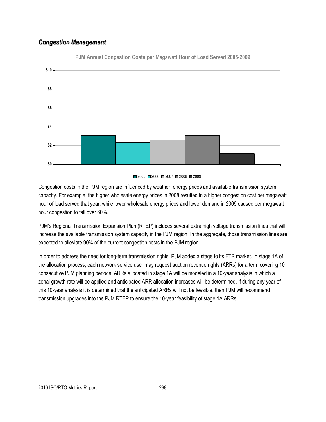### *Congestion Management*



**PJM Annual Congestion Costs per Megawatt Hour of Load Served 2005-2009**

Congestion costs in the PJM region are influenced by weather, energy prices and available transmission system capacity. For example, the higher wholesale energy prices in 2008 resulted in a higher congestion cost per megawatt hour of load served that year, while lower wholesale energy prices and lower demand in 2009 caused per megawatt hour congestion to fall over 60%.

PJM's Regional Transmission Expansion Plan (RTEP) includes several extra high voltage transmission lines that will increase the available transmission system capacity in the PJM region. In the aggregate, those transmission lines are expected to alleviate 90% of the current congestion costs in the PJM region.

In order to address the need for long-term transmission rights, PJM added a stage to its FTR market. In stage 1A of the allocation process, each network service user may request auction revenue rights (ARRs) for a term covering 10 consecutive PJM planning periods. ARRs allocated in stage 1A will be modeled in a 10-year analysis in which a zonal growth rate will be applied and anticipated ARR allocation increases will be determined. If during any year of this 10-year analysis it is determined that the anticipated ARRs will not be feasible, then PJM will recommend transmission upgrades into the PJM RTEP to ensure the 10-year feasibility of stage 1A ARRs.

<sup>■2005 ■2006 ■2007 ■2008 ■2009</sup>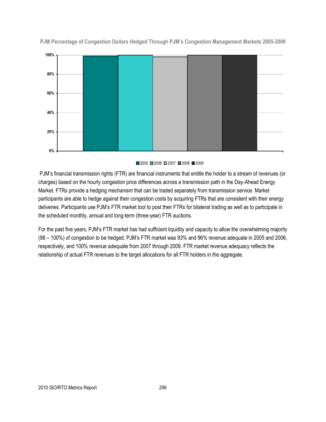

**PJM Percentage of Congestion Dollars Hedged Through PJM's Congestion Management Markets 2005-2009**

#### ■2005 ■2006 ■2007 ■2008 ■2009

PJM's financial transmission rights (FTR) are financial instruments that entitle the holder to a stream of revenues (or charges) based on the hourly congestion price differences across a transmission path in the Day-Ahead Energy Market. FTRs provide a hedging mechanism that can be traded separately from transmission service. Market participants are able to hedge against their congestion costs by acquiring FTRs that are consistent with their energy deliveries. Participants use PJM's FTR market tool to post their FTRs for bilateral trading as well as to participate in the scheduled monthly, annual and long-term (three-year) FTR auctions.

For the past five years, PJM's FTR market has had sufficient liquidity and capacity to allow the overwhelming majority (98 – 100%) of congestion to be hedged. PJM's FTR market was 93% and 96% revenue adequate in 2005 and 2006, respectively, and 100% revenue adequate from 2007 through 2009. FTR market revenue adequacy reflects the relationship of actual FTR revenues to the target allocations for all FTR holders in the aggregate.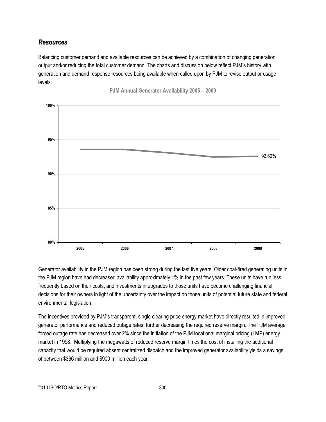### *Resources*

Balancing customer demand and available resources can be achieved by a combination of changing generation output and/or reducing the total customer demand. The charts and discussion below reflect PJM's history with generation and demand response resources being available when called upon by PJM to revise output or usage levels.

**PJM Annual Generator Availability 2005 – 2009**



Generator availability in the PJM region has been strong during the last five years. Older coal-fired generating units in the PJM region have had decreased availability approximately 1% in the past few years. These units have run less frequently based on their costs, and investments in upgrades to those units have become challenging financial decisions for their owners in light of the uncertainty over the impact on those units of potential future state and federal environmental legislation.

The incentives provided by PJM's transparent, single clearing price energy market have directly resulted in improved generator performance and reduced outage rates, further decreasing the required reserve margin. The PJM average forced outage rate has decreased over 2% since the initiation of the PJM locational marginal pricing (LMP) energy market in 1998. Multiplying the megawatts of reduced reserve margin times the cost of installing the additional capacity that would be required absent centralized dispatch and the improved generator availability yields a savings of between \$366 million and \$900 million each year.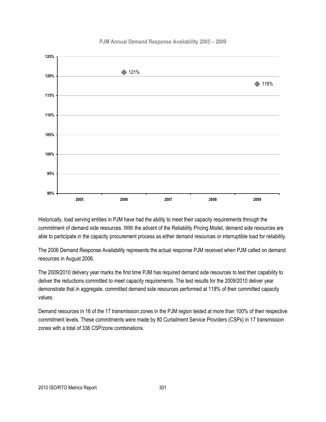#### **PJM Annual Demand Response Availability 2005 – 2009**



Historically, load serving entities in PJM have had the ability to meet their capacity requirements through the commitment of demand side resources. With the advent of the Reliability Pricing Model, demand side resources are able to participate in the capacity procurement process as either demand resources or interruptible load for reliability.

The 2006 Demand Response Availability represents the actual response PJM received when PJM called on demand resources in August 2006.

The 2009/2010 delivery year marks the first time PJM has required demand side resources to test their capability to deliver the reductions committed to meet capacity requirements. The test results for the 2009/2010 deliver year demonstrate that in aggregate, committed demand side resources performed at 118% of their committed capacity values.

Demand resources in 16 of the 17 transmission zones in the PJM region tested at more than 100% of their respective commitment levels. These commitments were made by 80 Curtailment Service Providers (CSPs) in 17 transmission zones with a total of 336 CSP/zone combinations.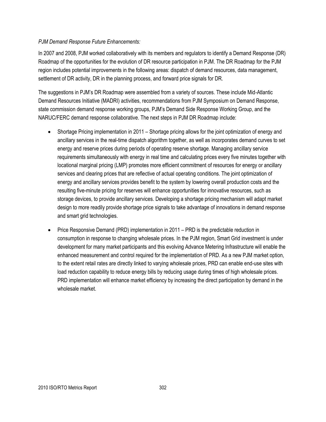#### *PJM Demand Response Future Enhancements:*

In 2007 and 2008, PJM worked collaboratively with its members and regulators to identify a Demand Response (DR) Roadmap of the opportunities for the evolution of DR resource participation in PJM. The DR Roadmap for the PJM region includes potential improvements in the following areas: dispatch of demand resources, data management, settlement of DR activity, DR in the planning process, and forward price signals for DR.

The suggestions in PJM's DR Roadmap were assembled from a variety of sources. These include Mid-Atlantic Demand Resources Initiative (MADRI) activities, recommendations from PJM Symposium on Demand Response, state commission demand response working groups, PJM's Demand Side Response Working Group, and the NARUC/FERC demand response collaborative. The next steps in PJM DR Roadmap include:

- Shortage Pricing implementation in 2011 Shortage pricing allows for the joint optimization of energy and ancillary services in the real-time dispatch algorithm together, as well as incorporates demand curves to set energy and reserve prices during periods of operating reserve shortage. Managing ancillary service requirements simultaneously with energy in real time and calculating prices every five minutes together with locational marginal pricing (LMP) promotes more efficient commitment of resources for energy or ancillary services and clearing prices that are reflective of actual operating conditions. The joint optimization of energy and ancillary services provides benefit to the system by lowering overall production costs and the resulting five-minute pricing for reserves will enhance opportunities for innovative resources, such as storage devices, to provide ancillary services. Developing a shortage pricing mechanism will adapt market design to more readily provide shortage price signals to take advantage of innovations in demand response and smart grid technologies.
- Price Responsive Demand (PRD) implementation in 2011 PRD is the predictable reduction in consumption in response to changing wholesale prices. In the PJM region, Smart Grid investment is under development for many market participants and this evolving Advance Metering Infrastructure will enable the enhanced measurement and control required for the implementation of PRD. As a new PJM market option, to the extent retail rates are directly linked to varying wholesale prices, PRD can enable end-use sites with load reduction capability to reduce energy bills by reducing usage during times of high wholesale prices. PRD implementation will enhance market efficiency by increasing the direct participation by demand in the wholesale market.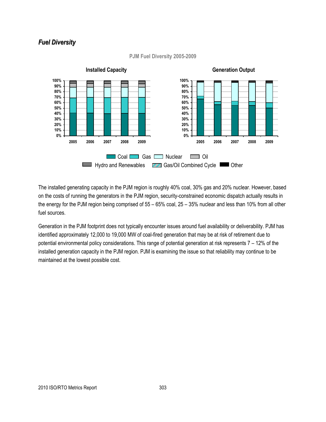### *Fuel Diversity*



#### **PJM Fuel Diversity 2005-2009**

The installed generating capacity in the PJM region is roughly 40% coal, 30% gas and 20% nuclear. However, based on the costs of running the generators in the PJM region, security-constrained economic dispatch actually results in the energy for the PJM region being comprised of 55 – 65% coal, 25 – 35% nuclear and less than 10% from all other fuel sources.

Generation in the PJM footprint does not typically encounter issues around fuel availability or deliverability. PJM has identified approximately 12,000 to 19,000 MW of coal-fired generation that may be at risk of retirement due to potential environmental policy considerations. This range of potential generation at risk represents 7 – 12% of the installed generation capacity in the PJM region. PJM is examining the issue so that reliability may continue to be maintained at the lowest possible cost.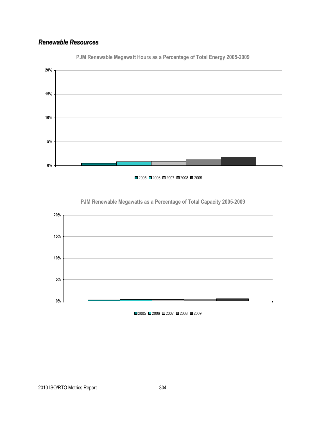### *Renewable Resources*



**PJM Renewable Megawatt Hours as a Percentage of Total Energy 2005-2009**



**PJM Renewable Megawatts as a Percentage of Total Capacity 2005-2009**

■2005 ■2006 ■2007 ■2008 ■2009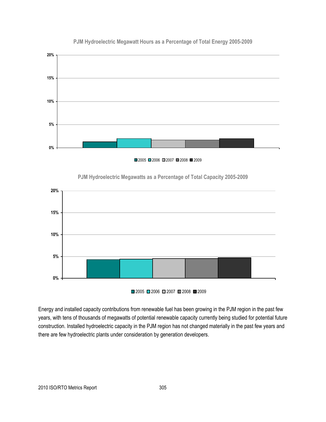

#### **PJM Hydroelectric Megawatt Hours as a Percentage of Total Energy 2005-2009**





#### **PJM Hydroelectric Megawatts as a Percentage of Total Capacity 2005-2009**

 $2005$  2006 2007 2008 2009

Energy and installed capacity contributions from renewable fuel has been growing in the PJM region in the past few years, with tens of thousands of megawatts of potential renewable capacity currently being studied for potential future construction. Installed hydroelectric capacity in the PJM region has not changed materially in the past few years and there are few hydroelectric plants under consideration by generation developers.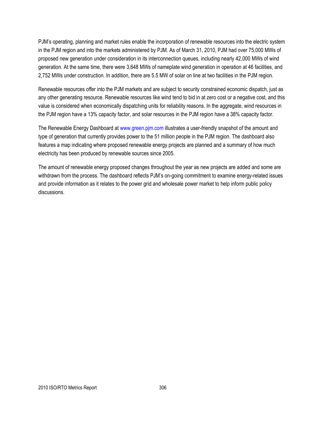PJM's operating, planning and market rules enable the incorporation of renewable resources into the electric system in the PJM region and into the markets administered by PJM. As of March 31, 2010, PJM had over 75,000 MWs of proposed new generation under consideration in its interconnection queues, including nearly 42,000 MWs of wind generation. At the same time, there were 3,648 MWs of nameplate wind generation in operation at 46 facilities, and 2,752 MWs under construction. In addition, there are 5.5 MW of solar on line at two facilities in the PJM region.

Renewable resources offer into the PJM markets and are subject to security constrained economic dispatch, just as any other generating resource. Renewable resources like wind tend to bid in at zero cost or a negative cost, and this value is considered when economically dispatching units for reliability reasons. In the aggregate, wind resources in the PJM region have a 13% capacity factor, and solar resources in the PJM region have a 38% capacity factor.

The Renewable Energy Dashboard a[t www.green.pjm.com](http://www.green.pjm.com/) illustrates a user-friendly snapshot of the amount and type of generation that currently provides power to the 51 million people in the PJM region. The dashboard also features a map indicating where proposed renewable energy projects are planned and a summary of how much electricity has been produced by renewable sources since 2005.

The amount of renewable energy proposed changes throughout the year as new projects are added and some are withdrawn from the process. The dashboard reflects PJM's on-going commitment to examine energy-related issues and provide information as it relates to the power grid and wholesale power market to help inform public policy discussions.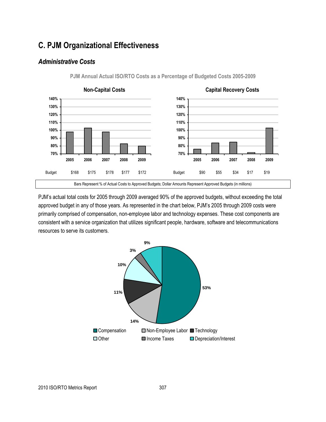### **C. PJM Organizational Effectiveness**

### *Administrative Costs*



**PJM Annual Actual ISO/RTO Costs as a Percentage of Budgeted Costs 2005-2009**

PJM's actual total costs for 2005 through 2009 averaged 90% of the approved budgets, without exceeding the total approved budget in any of those years. As represented in the chart below, PJM's 2005 through 2009 costs were primarily comprised of compensation, non-employee labor and technology expenses. These cost components are consistent with a service organization that utilizes significant people, hardware, software and telecommunications resources to serve its customers.

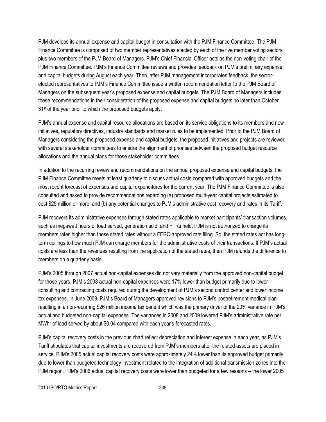PJM develops its annual expense and capital budget in consultation with the PJM Finance Committee. The PJM Finance Committee is comprised of two member representatives elected by each of the five member voting sectors plus two members of the PJM Board of Managers. PJM's Chief Financial Officer acts as the non-voting chair of the PJM Finance Committee. PJM's Finance Committee reviews and provides feedback on PJM's preliminary expense and capital budgets during August each year. Then, after PJM management incorporates feedback, the sectorelected representatives to PJM's Finance Committee issue a written recommendation letter to the PJM Board of Managers on the subsequent year's proposed expense and capital budgets. The PJM Board of Managers includes these recommendations in their consideration of the proposed expense and capital budgets no later than October 31<sup>st</sup> of the year prior to which the proposed budgets apply.

PJM's annual expense and capital resource allocations are based on its service obligations to its members and new initiatives, regulatory directives, industry standards and market rules to be implemented. Prior to the PJM Board of Managers considering the proposed expense and capital budgets, the proposed initiatives and projects are reviewed with several stakeholder committees to ensure the alignment of priorities between the proposed budget resource allocations and the annual plans for those stakeholder committees.

In addition to the recurring review and recommendations on the annual proposed expense and capital budgets, the PJM Finance Committee meets at least quarterly to discuss actual costs compared with approved budgets and the most recent forecast of expenses and capital expenditures for the current year. The PJM Finance Committee is also consulted and asked to provide recommendations regarding (a) proposed multi-year capital projects estimated to cost \$25 million or more, and (b) any potential changes to PJM's administrative cost recovery and rates in its Tariff.

PJM recovers its administrative expenses through stated rates applicable to market participants' transaction volumes, such as megawatt hours of load served, generation sold, and FTRs held. PJM is not authorized to charge its members rates higher than these stated rates without a FERC-approved rate filing. So, the stated rates act has longterm ceilings to how much PJM can charge members for the administrative costs of their transactions. If PJM's actual costs are less than the revenues resulting from the application of the stated rates, then PJM refunds the difference to members on a quarterly basis.

PJM's 2005 through 2007 actual non-capital expenses did not vary materially from the approved non-capital budget for those years. PJM's 2008 actual non-capital expenses were 17% lower than budget primarily due to lower consulting and contracting costs required during the development of PJM's second control center and lower income tax expenses. In June 2009, PJM's Board of Managers approved revisions to PJM's postretirement medical plan resulting in a non-recurring \$26 million income tax benefit which was the primary driver of the 20% variance in PJM's actual and budgeted non-capital expenses. The variances in 2008 and 2009 lowered PJM's administrative rate per MWhr of load served by about \$0.04 compared with each year's forecasted rates.

PJM's capital recovery costs in the previous chart reflect depreciation and interest expense in each year, as PJM's Tariff stipulates that capital investments are recovered from PJM's members after the related assets are placed in service. PJM's 2005 actual capital recovery costs were approximately 24% lower than its approved budget primarily due to lower than budgeted technology investment related to the integration of additional transmission zones into the PJM region. PJM's 2006 actual capital recovery costs were lower than budgeted for a few reasons – the lower 2005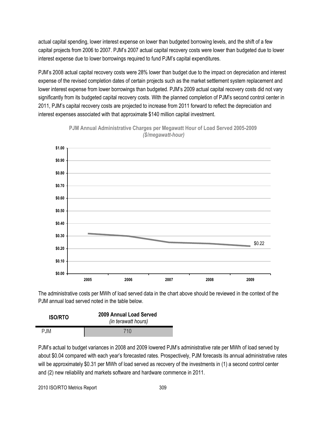actual capital spending, lower interest expense on lower than budgeted borrowing levels, and the shift of a few capital projects from 2006 to 2007. PJM's 2007 actual capital recovery costs were lower than budgeted due to lower interest expense due to lower borrowings required to fund PJM's capital expenditures.

PJM's 2008 actual capital recovery costs were 28% lower than budget due to the impact on depreciation and interest expense of the revised completion dates of certain projects such as the market settlement system replacement and lower interest expense from lower borrowings than budgeted. PJM's 2009 actual capital recovery costs did not vary significantly from its budgeted capital recovery costs. With the planned completion of PJM's second control center in 2011, PJM's capital recovery costs are projected to increase from 2011 forward to reflect the depreciation and interest expenses associated with that approximate \$140 million capital investment.





The administrative costs per MWh of load served data in the chart above should be reviewed in the context of the PJM annual load served noted in the table below.

| <b>ISO/RTO</b> | 2009 Annual Load Served<br>(in terawatt hours) |  |  |
|----------------|------------------------------------------------|--|--|
| <b>PJM</b>     | 710                                            |  |  |

PJM's actual to budget variances in 2008 and 2009 lowered PJM's administrative rate per MWh of load served by about \$0.04 compared with each year's forecasted rates. Prospectively, PJM forecasts its annual administrative rates will be approximately \$0.31 per MWh of load served as recovery of the investments in (1) a second control center and (2) new reliability and markets software and hardware commence in 2011.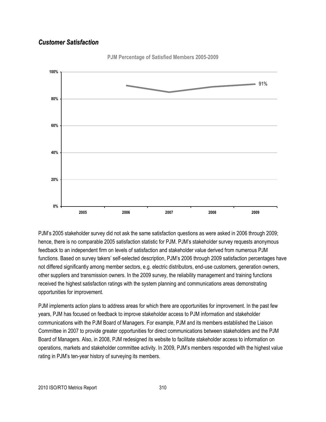### *Customer Satisfaction*



**PJM Percentage of Satisfied Members 2005-2009**

PJM's 2005 stakeholder survey did not ask the same satisfaction questions as were asked in 2006 through 2009; hence, there is no comparable 2005 satisfaction statistic for PJM. PJM's stakeholder survey requests anonymous feedback to an independent firm on levels of satisfaction and stakeholder value derived from numerous PJM functions. Based on survey takers' self-selected description, PJM's 2006 through 2009 satisfaction percentages have not differed significantly among member sectors, e.g. electric distributors, end-use customers, generation owners, other suppliers and transmission owners. In the 2009 survey, the reliability management and training functions received the highest satisfaction ratings with the system planning and communications areas demonstrating opportunities for improvement.

PJM implements action plans to address areas for which there are opportunities for improvement. In the past few years, PJM has focused on feedback to improve stakeholder access to PJM information and stakeholder communications with the PJM Board of Managers. For example, PJM and its members established the Liaison Committee in 2007 to provide greater opportunities for direct communications between stakeholders and the PJM Board of Managers. Also, in 2008, PJM redesigned its website to facilitate stakeholder access to information on operations, markets and stakeholder committee activity. In 2009, PJM's members responded with the highest value rating in PJM's ten-year history of surveying its members.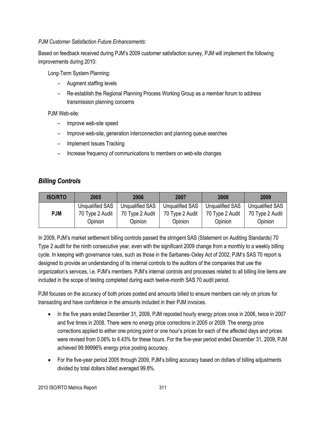#### *PJM Customer Satisfaction Future Enhancements:*

Based on feedback received during PJM's 2009 customer satisfaction survey, PJM will implement the following improvements during 2010:

Long-Term System Planning:

- Augment staffing levels
- Re-establish the Regional Planning Process Working Group as a member forum to address transmission planning concerns

### PJM Web-site:

- Improve web-site speed
- Improve web-site, generation interconnection and planning queue searches
- Implement Issues Tracking
- Increase frequency of communications to members on web-site changes

### *Billing Controls*

| <b>ISO/RTO</b> | 2005                       | 2006                       | 2007                       | 2008                       | 2009                       |
|----------------|----------------------------|----------------------------|----------------------------|----------------------------|----------------------------|
|                | Unqualified SAS            | <b>Unqualified SAS</b>     | <b>Unqualified SAS</b>     | <b>Unqualified SAS</b>     | <b>Unqualified SAS</b>     |
| <b>PJM</b>     | 70 Type 2 Audit<br>Opinion | 70 Type 2 Audit<br>Opinion | 70 Type 2 Audit<br>Opinion | 70 Type 2 Audit<br>Opinion | 70 Type 2 Audit<br>Opinion |

In 2009, PJM's market settlement billing controls passed the stringent SAS (Statement on Auditing Standards) 70 Type 2 audit for the ninth consecutive year, even with the significant 2009 change from a monthly to a weekly billing cycle. In keeping with governance rules, such as those in the Sarbanes‐Oxley Act of 2002, PJM's SAS 70 report is designed to provide an understanding of its internal controls to the auditors of the companies that use the organization's services, i.e. PJM's members. PJM's internal controls and processes related to all billing line items are included in the scope of testing completed during each twelve-month SAS 70 audit period.

PJM focuses on the accuracy of both prices posted and amounts billed to ensure members can rely on prices for transacting and have confidence in the amounts included in their PJM invoices.

- In the five years ended December 31, 2009, PJM reposted hourly energy prices once in 2006, twice in 2007 and five times in 2008. There were no energy price corrections in 2005 or 2009. The energy price corrections applied to either one pricing point or one hour's prices for each of the affected days and prices were revised from 0.06% to 6.43% for these hours. For the five-year period ended December 31, 2009, PJM achieved 99.99996% energy price posting accuracy.
- For the five-year period 2005 through 2009, PJM's billing accuracy based on dollars of billing adjustments divided by total dollars billed averaged 99.8%.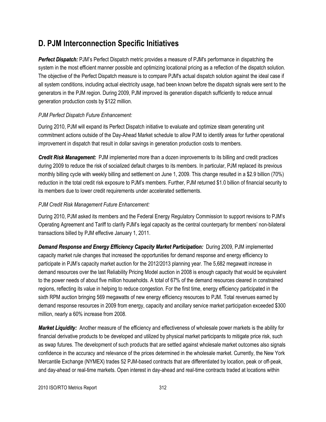### **D. PJM Interconnection Specific Initiatives**

*Perfect Dispatch:* PJM's Perfect Dispatch metric provides a measure of PJM's performance in dispatching the system in the most efficient manner possible and optimizing locational pricing as a reflection of the dispatch solution. The objective of the Perfect Dispatch measure is to compare PJM's actual dispatch solution against the ideal case if all system conditions, including actual electricity usage, had been known before the dispatch signals were sent to the generators in the PJM region. During 2009, PJM improved its generation dispatch sufficiently to reduce annual generation production costs by \$122 million.

### *PJM Perfect Dispatch Future Enhancement:*

During 2010, PJM will expand its Perfect Dispatch initiative to evaluate and optimize steam generating unit commitment actions outside of the Day-Ahead Market schedule to allow PJM to identify areas for further operational improvement in dispatch that result in dollar savings in generation production costs to members.

*Credit Risk Management:* PJM implemented more than a dozen improvements to its billing and credit practices during 2009 to reduce the risk of socialized default charges to its members. In particular, PJM replaced its previous monthly billing cycle with weekly billing and settlement on June 1, 2009. This change resulted in a \$2.9 billion (70%) reduction in the total credit risk exposure to PJM's members. Further, PJM returned \$1.0 billion of financial security to its members due to lower credit requirements under accelerated settlements.

### *PJM Credit Risk Management Future Enhancement:*

During 2010, PJM asked its members and the Federal Energy Regulatory Commission to support revisions to PJM's Operating Agreement and Tariff to clarify PJM's legal capacity as the central counterparty for members' non-bilateral transactions billed by PJM effective January 1, 2011.

*Demand Response and Energy Efficiency Capacity Market Participation:* During 2009, PJM implemented capacity market rule changes that increased the opportunities for demand response and energy efficiency to participate in PJM's capacity market auction for the 2012/2013 planning year. The 5,682 megawatt increase in demand resources over the last Reliability Pricing Model auction in 2008 is enough capacity that would be equivalent to the power needs of about five million households. A total of 67% of the demand resources cleared in constrained regions, reflecting its value in helping to reduce congestion. For the first time, energy efficiency participated in the sixth RPM auction bringing 569 megawatts of new energy efficiency resources to PJM. Total revenues earned by demand response resources in 2009 from energy, capacity and ancillary service market participation exceeded \$300 million, nearly a 60% increase from 2008.

*Market Liquidity:* Another measure of the efficiency and effectiveness of wholesale power markets is the ability for financial derivative products to be developed and utilized by physical market participants to mitigate price risk, such as swap futures. The development of such products that are settled against wholesale market outcomes also signals confidence in the accuracy and relevance of the prices determined in the wholesale market. Currently, the New York Mercantile Exchange (NYMEX) trades 52 PJM-based contracts that are differentiated by location, peak or off-peak, and day-ahead or real-time markets. Open interest in day-ahead and real-time contracts traded at locations within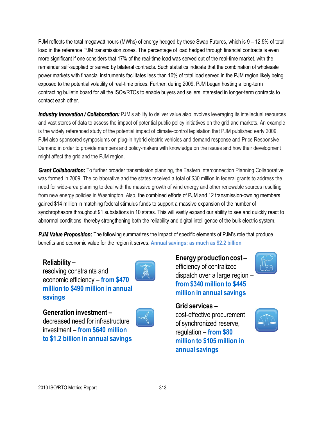PJM reflects the total megawatt hours (MWhs) of energy hedged by these Swap Futures, which is 9 – 12.5% of total load in the reference PJM transmission zones. The percentage of load hedged through financial contracts is even more significant if one considers that 17% of the real-time load was served out of the real-time market, with the remainder self-supplied or served by bilateral contracts. Such statistics indicate that the combination of wholesale power markets with financial instruments facilitates less than 10% of total load served in the PJM region likely being exposed to the potential volatility of real-time prices. Further, during 2009, PJM began hosting a long-term contracting bulletin board for all the ISOs/RTOs to enable buyers and sellers interested in longer-term contracts to contact each other.

*Industry Innovation / Collaboration:* PJM's ability to deliver value also involves leveraging its intellectual resources and vast stores of data to assess the impact of potential public policy initiatives on the grid and markets. An example is the widely referenced study of the potential impact of climate-control legislation that PJM published early 2009. PJM also sponsored symposiums on plug-in hybrid electric vehicles and demand response and Price Responsive Demand in order to provide members and policy-makers with knowledge on the issues and how their development might affect the grid and the PJM region.

*Grant Collaboration:* To further broader transmission planning, the Eastern Interconnection Planning Collaborative was formed in 2009. The collaborative and the states received a total of \$30 million in federal grants to address the need for wide-area planning to deal with the massive growth of wind energy and other renewable sources resulting from new energy policies in Washington. Also, the combined efforts of PJM and 12 transmission-owning members gained \$14 million in matching federal stimulus funds to support a massive expansion of the number of synchrophasors throughout 91 substations in 10 states. This will vastly expand our ability to see and quickly react to abnormal conditions, thereby strengthening both the reliability and digital intelligence of the bulk electric system.

**PJM Value Proposition:** The following summarizes the impact of specific elements of PJM's role that produce benefits and economic value for the region it serves. **Annual savings: as much as \$2.2 billion**

### **Reliability –**

resolving constraints and economic efficiency – **from \$470 million to \$490 million in annual savings**



**Generation investment –** decreased need for infrastructure investment – **from \$640 million to \$1.2 billion in annual savings**



**Energy production cost –** efficiency of centralized dispatch over a large region – **from \$340 million to \$445 million in annual savings**

**Grid services –**

cost-effective procurement of synchronized reserve, regulation – **from \$80 million to \$105 million in annual savings**